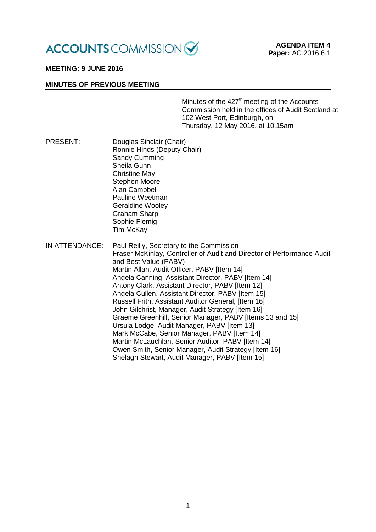

# **MEETING: 9 JUNE 2016**

#### **MINUTES OF PREVIOUS MEETING**

Minutes of the  $427<sup>th</sup>$  meeting of the Accounts Commission held in the offices of Audit Scotland at 102 West Port, Edinburgh, on Thursday, 12 May 2016, at 10.15am

- PRESENT: Douglas Sinclair (Chair) Ronnie Hinds (Deputy Chair) Sandy Cumming Sheila Gunn Christine May Stephen Moore Alan Campbell Pauline Weetman Geraldine Wooley Graham Sharp Sophie Flemig Tim McKay
- IN ATTENDANCE: Paul Reilly, Secretary to the Commission Fraser McKinlay, Controller of Audit and Director of Performance Audit and Best Value (PABV) Martin Allan, Audit Officer, PABV [Item 14] Angela Canning, Assistant Director, PABV [Item 14] Antony Clark, Assistant Director, PABV [Item 12] Angela Cullen, Assistant Director, PABV [Item 15] Russell Frith, Assistant Auditor General, [Item 16] John Gilchrist, Manager, Audit Strategy [Item 16] Graeme Greenhill, Senior Manager, PABV [Items 13 and 15] Ursula Lodge, Audit Manager, PABV [Item 13] Mark McCabe, Senior Manager, PABV [Item 14] Martin McLauchlan, Senior Auditor, PABV [Item 14] Owen Smith, Senior Manager, Audit Strategy [Item 16] Shelagh Stewart, Audit Manager, PABV [Item 15]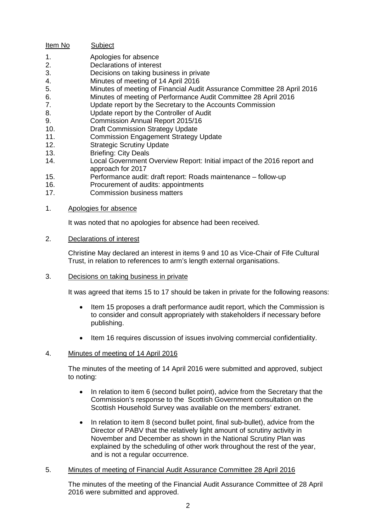- Item No Subject
- 1. Apologies for absence<br>2. Declarations of interest
- Declarations of interest
- 3. Decisions on taking business in private<br>4 Minutes of meeting of 14 April 2016
- Minutes of meeting of 14 April 2016
- 5. Minutes of meeting of Financial Audit Assurance Committee 28 April 2016
- 6. Minutes of meeting of Performance Audit Committee 28 April 2016
- 7. Update report by the Secretary to the Accounts Commission
- 8. Update report by the Controller of Audit
- 9. Commission Annual Report 2015/16<br>10. Draft Commission Strategy Update
- **Draft Commission Strategy Update**
- 11. Commission Engagement Strategy Update
- 12. Strategic Scrutiny Update
- 13. Briefing: City Deals
- 14. Local Government Overview Report: Initial impact of the 2016 report and approach for 2017
- 15. Performance audit: draft report: Roads maintenance follow-up<br>16. Procurement of audits: appointments
- Procurement of audits: appointments
- 17. Commission business matters
- 1. Apologies for absence

It was noted that no apologies for absence had been received.

### 2. Declarations of interest

Christine May declared an interest in items 9 and 10 as Vice-Chair of Fife Cultural Trust, in relation to references to arm's length external organisations.

### 3. Decisions on taking business in private

It was agreed that items 15 to 17 should be taken in private for the following reasons:

- Item 15 proposes a draft performance audit report, which the Commission is to consider and consult appropriately with stakeholders if necessary before publishing.
- Item 16 requires discussion of issues involving commercial confidentiality.

# 4. Minutes of meeting of 14 April 2016

The minutes of the meeting of 14 April 2016 were submitted and approved, subject to noting:

- In relation to item 6 (second bullet point), advice from the Secretary that the Commission's response to the Scottish Government consultation on the Scottish Household Survey was available on the members' extranet.
- In relation to item 8 (second bullet point, final sub-bullet), advice from the Director of PABV that the relatively light amount of scrutiny activity in November and December as shown in the National Scrutiny Plan was explained by the scheduling of other work throughout the rest of the year, and is not a regular occurrence.

# 5. Minutes of meeting of Financial Audit Assurance Committee 28 April 2016

The minutes of the meeting of the Financial Audit Assurance Committee of 28 April 2016 were submitted and approved.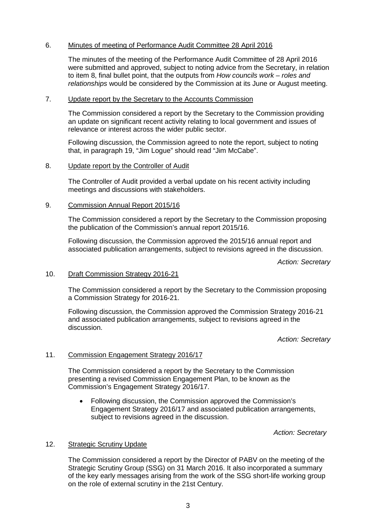# 6. Minutes of meeting of Performance Audit Committee 28 April 2016

The minutes of the meeting of the Performance Audit Committee of 28 April 2016 were submitted and approved, subject to noting advice from the Secretary, in relation to item 8, final bullet point, that the outputs from *How councils work – roles and relationships* would be considered by the Commission at its June or August meeting.

#### 7. Update report by the Secretary to the Accounts Commission

The Commission considered a report by the Secretary to the Commission providing an update on significant recent activity relating to local government and issues of relevance or interest across the wider public sector.

Following discussion, the Commission agreed to note the report, subject to noting that, in paragraph 19, "Jim Logue" should read "Jim McCabe".

#### 8. Update report by the Controller of Audit

The Controller of Audit provided a verbal update on his recent activity including meetings and discussions with stakeholders.

### 9. Commission Annual Report 2015/16

The Commission considered a report by the Secretary to the Commission proposing the publication of the Commission's annual report 2015/16.

Following discussion, the Commission approved the 2015/16 annual report and associated publication arrangements, subject to revisions agreed in the discussion.

*Action: Secretary*

### 10. Draft Commission Strategy 2016-21

The Commission considered a report by the Secretary to the Commission proposing a Commission Strategy for 2016-21.

Following discussion, the Commission approved the Commission Strategy 2016-21 and associated publication arrangements, subject to revisions agreed in the discussion.

*Action: Secretary*

#### 11. Commission Engagement Strategy 2016/17

The Commission considered a report by the Secretary to the Commission presenting a revised Commission Engagement Plan, to be known as the Commission's Engagement Strategy 2016/17.

• Following discussion, the Commission approved the Commission's Engagement Strategy 2016/17 and associated publication arrangements, subject to revisions agreed in the discussion.

*Action: Secretary*

# 12. Strategic Scrutiny Update

The Commission considered a report by the Director of PABV on the meeting of the Strategic Scrutiny Group (SSG) on 31 March 2016. It also incorporated a summary of the key early messages arising from the work of the SSG short-life working group on the role of external scrutiny in the 21st Century.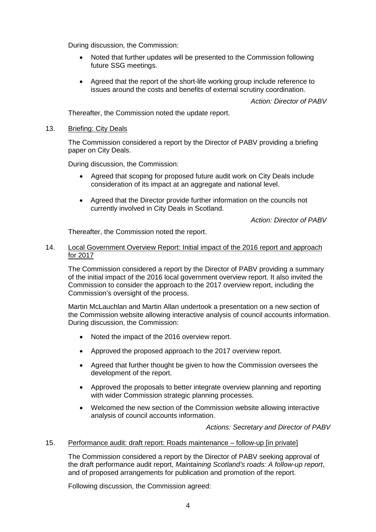During discussion, the Commission:

- Noted that further updates will be presented to the Commission following future SSG meetings.
- Agreed that the report of the short-life working group include reference to issues around the costs and benefits of external scrutiny coordination.

*Action: Director of PABV*

Thereafter, the Commission noted the update report.

### 13. Briefing: City Deals

The Commission considered a report by the Director of PABV providing a briefing paper on City Deals.

During discussion, the Commission:

- Agreed that scoping for proposed future audit work on City Deals include consideration of its impact at an aggregate and national level.
- Agreed that the Director provide further information on the councils not currently involved in City Deals in Scotland.

*Action: Director of PABV*

Thereafter, the Commission noted the report.

### 14. Local Government Overview Report: Initial impact of the 2016 report and approach for 2017

The Commission considered a report by the Director of PABV providing a summary of the initial impact of the 2016 local government overview report. It also invited the Commission to consider the approach to the 2017 overview report, including the Commission's oversight of the process.

Martin McLauchlan and Martin Allan undertook a presentation on a new section of the Commission website allowing interactive analysis of council accounts information. During discussion, the Commission:

- Noted the impact of the 2016 overview report.
- Approved the proposed approach to the 2017 overview report.
- Agreed that further thought be given to how the Commission oversees the development of the report.
- Approved the proposals to better integrate overview planning and reporting with wider Commission strategic planning processes.
- Welcomed the new section of the Commission website allowing interactive analysis of council accounts information.

*Actions: Secretary and Director of PABV*

#### 15. Performance audit: draft report: Roads maintenance – follow-up [in private]

The Commission considered a report by the Director of PABV seeking approval of the draft performance audit report, *Maintaining Scotland's roads: A follow-up report*, and of proposed arrangements for publication and promotion of the report.

Following discussion, the Commission agreed: